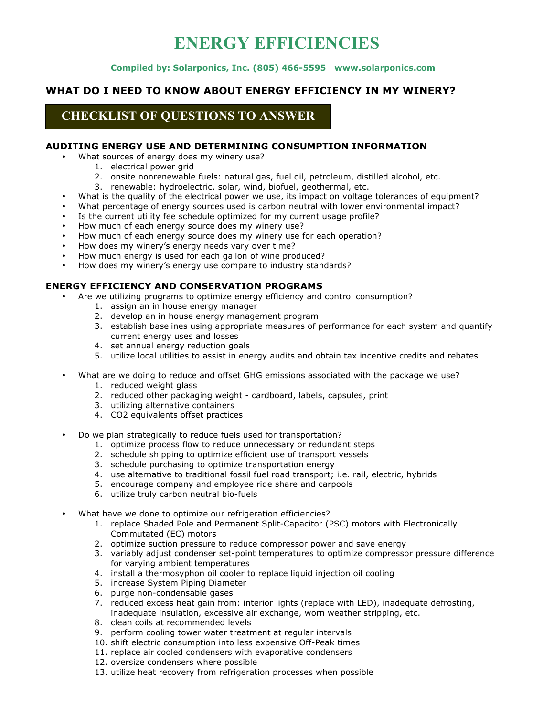# **ENERGY EFFICIENCIES**

#### **Compiled by: Solarponics, Inc. (805) 466-5595 www.solarponics.com**

#### **WHAT DO I NEED TO KNOW ABOUT ENERGY EFFICIENCY IN MY WINERY?**

# **CHECKLIST OF QUESTIONS TO ANSWER**

### **AUDITING ENERGY USE AND DETERMINING CONSUMPTION INFORMATION**

- What sources of energy does my winery use?
	- 1. electrical power grid
	- 2. onsite nonrenewable fuels: natural gas, fuel oil, petroleum, distilled alcohol, etc.
	- 3. renewable: hydroelectric, solar, wind, biofuel, geothermal, etc.
- What is the quality of the electrical power we use, its impact on voltage tolerances of equipment?
- What percentage of energy sources used is carbon neutral with lower environmental impact?
- Is the current utility fee schedule optimized for my current usage profile?
- How much of each energy source does my winery use?
- How much of each energy source does my winery use for each operation?
- How does my winery's energy needs vary over time?
- How much energy is used for each gallon of wine produced?
- How does my winery's energy use compare to industry standards?

#### **ENERGY EFFICIENCY AND CONSERVATION PROGRAMS**

- Are we utilizing programs to optimize energy efficiency and control consumption?
	- 1. assign an in house energy manager
	- 2. develop an in house energy management program
	- 3. establish baselines using appropriate measures of performance for each system and quantify current energy uses and losses
	- 4. set annual energy reduction goals
	- 5. utilize local utilities to assist in energy audits and obtain tax incentive credits and rebates
- What are we doing to reduce and offset GHG emissions associated with the package we use?
	- 1. reduced weight glass
	- 2. reduced other packaging weight cardboard, labels, capsules, print
	- 3. utilizing alternative containers
	- 4. CO2 equivalents offset practices
- Do we plan strategically to reduce fuels used for transportation?
	- 1. optimize process flow to reduce unnecessary or redundant steps
	- 2. schedule shipping to optimize efficient use of transport vessels
	- 3. schedule purchasing to optimize transportation energy
	- 4. use alternative to traditional fossil fuel road transport; i.e. rail, electric, hybrids
	- 5. encourage company and employee ride share and carpools
	- 6. utilize truly carbon neutral bio-fuels
- What have we done to optimize our refrigeration efficiencies?
	- 1. replace Shaded Pole and Permanent Split-Capacitor (PSC) motors with Electronically Commutated (EC) motors
	- 2. optimize suction pressure to reduce compressor power and save energy
	- 3. variably adjust condenser set-point temperatures to optimize compressor pressure difference for varying ambient temperatures
	- 4. install a thermosyphon oil cooler to replace liquid injection oil cooling
	- 5. increase System Piping Diameter
	- 6. purge non-condensable gases
	- 7. reduced excess heat gain from: interior lights (replace with LED), inadequate defrosting, inadequate insulation, excessive air exchange, worn weather stripping, etc.
	- 8. clean coils at recommended levels
	- 9. perform cooling tower water treatment at regular intervals
	- 10. shift electric consumption into less expensive Off-Peak times
	- 11. replace air cooled condensers with evaporative condensers
	- 12. oversize condensers where possible
	- 13. utilize heat recovery from refrigeration processes when possible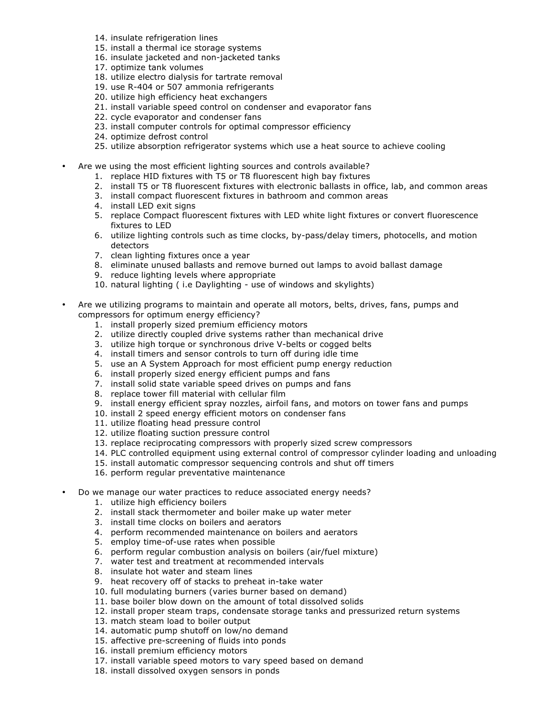- 14. insulate refrigeration lines
- 15. install a thermal ice storage systems
- 16. insulate jacketed and non-jacketed tanks
- 17. optimize tank volumes
- 18. utilize electro dialysis for tartrate removal
- 19. use R-404 or 507 ammonia refrigerants
- 20. utilize high efficiency heat exchangers
- 21. install variable speed control on condenser and evaporator fans
- 22. cycle evaporator and condenser fans
- 23. install computer controls for optimal compressor efficiency
- 24. optimize defrost control
- 25. utilize absorption refrigerator systems which use a heat source to achieve cooling
- Are we using the most efficient lighting sources and controls available?
	- 1. replace HID fixtures with T5 or T8 fluorescent high bay fixtures
	- 2. install T5 or T8 fluorescent fixtures with electronic ballasts in office, lab, and common areas
	- 3. install compact fluorescent fixtures in bathroom and common areas
	- 4. install LED exit signs
	- 5. replace Compact fluorescent fixtures with LED white light fixtures or convert fluorescence fixtures to LED
	- 6. utilize lighting controls such as time clocks, by-pass/delay timers, photocells, and motion detectors
	- 7. clean lighting fixtures once a year
	- 8. eliminate unused ballasts and remove burned out lamps to avoid ballast damage
	- 9. reduce lighting levels where appropriate
	- 10. natural lighting ( i.e Daylighting use of windows and skylights)
- Are we utilizing programs to maintain and operate all motors, belts, drives, fans, pumps and compressors for optimum energy efficiency?
	- 1. install properly sized premium efficiency motors
	- 2. utilize directly coupled drive systems rather than mechanical drive
	- 3. utilize high torque or synchronous drive V-belts or cogged belts
	- 4. install timers and sensor controls to turn off during idle time
	- 5. use an A System Approach for most efficient pump energy reduction
	- 6. install properly sized energy efficient pumps and fans
	- 7. install solid state variable speed drives on pumps and fans
	- 8. replace tower fill material with cellular film
	- 9. install energy efficient spray nozzles, airfoil fans, and motors on tower fans and pumps
	- 10. install 2 speed energy efficient motors on condenser fans
	- 11. utilize floating head pressure control
	- 12. utilize floating suction pressure control
	- 13. replace reciprocating compressors with properly sized screw compressors
	- 14. PLC controlled equipment using external control of compressor cylinder loading and unloading
	- 15. install automatic compressor sequencing controls and shut off timers
	- 16. perform regular preventative maintenance
- Do we manage our water practices to reduce associated energy needs?
	- 1. utilize high efficiency boilers
	- 2. install stack thermometer and boiler make up water meter
	- 3. install time clocks on boilers and aerators
	- 4. perform recommended maintenance on boilers and aerators
	- 5. employ time-of-use rates when possible
	- 6. perform regular combustion analysis on boilers (air/fuel mixture)
	- 7. water test and treatment at recommended intervals
	- 8. insulate hot water and steam lines
	- 9. heat recovery off of stacks to preheat in-take water
	- 10. full modulating burners (varies burner based on demand)
	- 11. base boiler blow down on the amount of total dissolved solids
	- 12. install proper steam traps, condensate storage tanks and pressurized return systems
	- 13. match steam load to boiler output
	- 14. automatic pump shutoff on low/no demand
	- 15. affective pre-screening of fluids into ponds
	- 16. install premium efficiency motors
	- 17. install variable speed motors to vary speed based on demand
	- 18. install dissolved oxygen sensors in ponds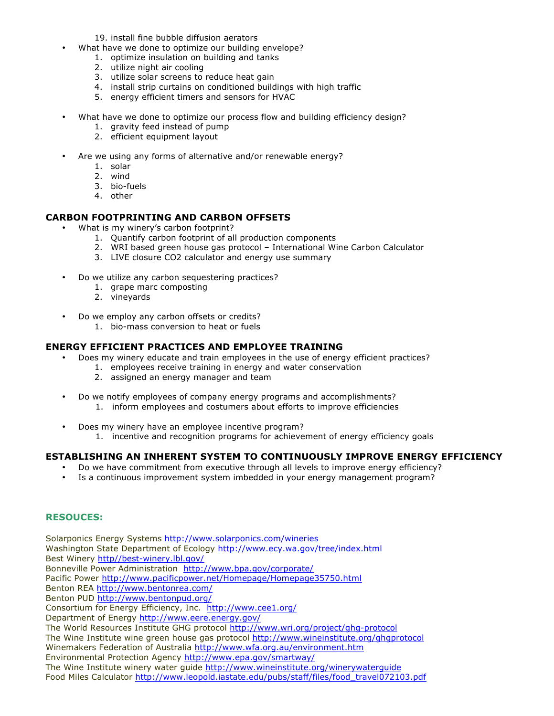19. install fine bubble diffusion aerators

- What have we done to optimize our building envelope?
	- 1. optimize insulation on building and tanks
	- 2. utilize night air cooling
	- 3. utilize solar screens to reduce heat gain
	- 4. install strip curtains on conditioned buildings with high traffic
	- 5. energy efficient timers and sensors for HVAC
- What have we done to optimize our process flow and building efficiency design?
	- 1. gravity feed instead of pump
	- 2. efficient equipment layout
- Are we using any forms of alternative and/or renewable energy?
	- 1. solar
	- 2. wind
	- 3. bio-fuels
	- 4. other

#### **CARBON FOOTPRINTING AND CARBON OFFSETS**

- What is my winery's carbon footprint?
	- 1. Quantify carbon footprint of all production components
	- 2. WRI based green house gas protocol International Wine Carbon Calculator
	- 3. LIVE closure CO2 calculator and energy use summary
- Do we utilize any carbon sequestering practices?
	- 1. grape marc composting
	- 2. vineyards
- Do we employ any carbon offsets or credits?
	- 1. bio-mass conversion to heat or fuels

#### **ENERGY EFFICIENT PRACTICES AND EMPLOYEE TRAINING**

- Does my winery educate and train employees in the use of energy efficient practices?
	- 1. employees receive training in energy and water conservation
		- 2. assigned an energy manager and team
- Do we notify employees of company energy programs and accomplishments?
	- 1. inform employees and costumers about efforts to improve efficiencies
- Does my winery have an employee incentive program? 1. incentive and recognition programs for achievement of energy efficiency goals

## **ESTABLISHING AN INHERENT SYSTEM TO CONTINUOUSLY IMPROVE ENERGY EFFICIENCY**

- Do we have commitment from executive through all levels to improve energy efficiency?
- Is a continuous improvement system imbedded in your energy management program?

## **RESOUCES:**

Solarponics Energy Systems http://www.solarponics.com/wineries Washington State Department of Ecology http://www.ecy.wa.gov/tree/index.html Best Winery http//best-winery.lbl.gov/ Bonneville Power Administration http://www.bpa.gov/corporate/ Pacific Power http://www.pacificpower.net/Homepage/Homepage35750.html Benton REA http://www.bentonrea.com/ Benton PUD http://www.bentonpud.org/ Consortium for Energy Efficiency, Inc.http://www.cee1.org/ Department of Energy http://www.eere.energy.gov/ The World Resources Institute GHG protocol http://www.wri.org/project/ghg-protocol The Wine Institute wine green house gas protocol http://www.wineinstitute.org/ghgprotocol Winemakers Federation of Australia http://www.wfa.org.au/environment.htm Environmental Protection Agency http://www.epa.gov/smartway/ The Wine Institute winery water guide http://www.wineinstitute.org/winerywaterguide Food Miles Calculator http://www.leopold.iastate.edu/pubs/staff/files/food\_travel072103.pdf